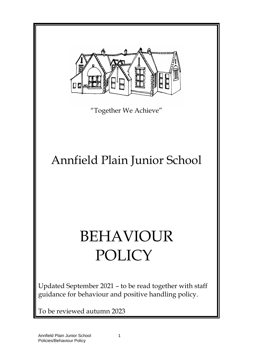

"Together We Achieve"

## Annfield Plain Junior School

# BEHAVIOUR POLICY

Updated September 2021 – to be read together with staff guidance for behaviour and positive handling policy.

To be reviewed autumn 2023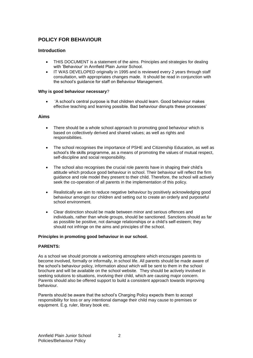### **POLICY FOR BEHAVIOUR**

#### **Introduction**

- THIS DOCUMENT is a statement of the aims. Principles and strategies for dealing with 'Behaviour' in Annfield Plain Junior School.
- IT WAS DEVELOPED originally in 1995 and is reviewed every 2 years through staff consultation, with appropriates changes made. It should be read in conjunction with the school's guidance for staff on Behaviour Management.

#### **Why is good behaviour necessary**?

• 'A school's central purpose is that children should learn. Good behaviour makes effective teaching and learning possible. Bad behaviour disrupts these processes'

#### **Aims**

- There should be a whole school approach to promoting good behaviour which is based on collectively derived and shared values; as well as rights and responsibilities.
- The school recognises the importance of PSHE and Citizenship Education, as well as school's life skills programme, as a means of promoting the values of mutual respect, self-discipline and social responsibility.
- The school also recognises the crucial role parents have in shaping their child's attitude which produce good behaviour in school. Their behaviour will reflect the firm guidance and role model they present to their child. Therefore, the school will actively seek the co-operation of all parents in the implementation of this policy.
- Realistically we aim to reduce negative behaviour by positively acknowledging good behaviour amongst our children and setting out to create an orderly and purposeful school environment.
- Clear distinction should be made between minor and serious offences and individuals, rather than whole groups, should be sanctioned. Sanctions should as far as possible be positive, not damage relationships or a child's self-esteem; they should not infringe on the aims and principles of the school.

#### **Principles in promoting good behaviour in our school.**

#### **PARENTS:**

As a school we should promote a welcoming atmosphere which encourages parents to become involved, formally or informally, in school life. All parents should be made aware of the school's behaviour policy, information about which will be sent to them in the school brochure and will be available on the school website. They should be actively involved in seeking solutions to situations, involving their child, which are causing major concern. Parents should also be offered support to build a consistent approach towards improving behaviour.

Parents should be aware that the school's Charging Policy expects them to accept responsibility for loss or any intentional damage their child may cause to premises or equipment. E.g. ruler, library book etc.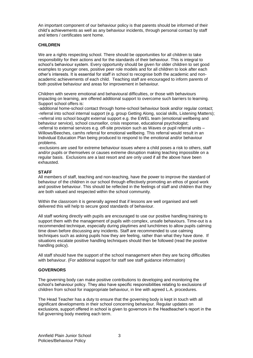An important component of our behaviour policy is that parents should be informed of their child's achievements as well as any behaviour incidents, through personal contact by staff and letters / certificates sent home.

#### **CHILDREN**

We are a rights respecting school. There should be opportunities for all children to take responsibility for their actions and for the standards of their behaviour. This is integral to school's behaviour system. Every opportunity should be given for older children to set good examples to younger ones, positive peer role models and for all children to look after each other's interests. It is essential for staff in school to recognise both the academic and nonacademic achievements of each child. Teaching staff are encouraged to inform parents of both positive behaviour and areas for improvement in behaviour.

Children with severe emotional and behavioural difficulties, or those with behaviours impacting on learning, are offered additional support to overcome such barriers to learning. Support school offers is:

-additional home-school contact through home-school behaviour book and/or regular contact; -referral into school internal support (e.g. group Getting Along, social skills, Listening Matters); –referral into school bought external support e.g. the EWEL team (emotional wellbeing and behaviour service), school counsellor, crisis response, educational psychologist;

-referral to external services e.g. off-site provision such as Waves or pupil referral units – Willows/Beeches, camhs referral for emotional wellbeing. This referral would result in an Individual Education Plan being produced to respond to the emotional and/or behaviour problems.

-exclusions are used for extreme behaviour issues where a child poses a risk to others, staff and/or pupils or themselves or causes extreme disruption making teaching impossible on a regular basis. Exclusions are a last resort and are only used if all the above have been exhausted.

#### **STAFF**

All members of staff, teaching and non-teaching, have the power to improve the standard of behaviour of the children in our school through effectively promoting an ethos of good work and positive behaviour. This should be reflected in the feelings of staff and children that they are both valued and respected within the school community.

Within the classroom it is generally agreed that if lessons are well organised and well delivered this will help to secure good standards of behaviour.

All staff working directly with pupils are encouraged to use our positive handling training to support them with the management of pupils with complex, unsafe behaviours. Time-out is a recommended technique, especially during playtimes and lunchtimes to allow pupils calming time down before discussing any incidents. Staff are recommended to use calming techniques such as asking pupils how they are feeling, rather than what they have done. If situations escalate positive handling techniques should then be followed (read the positive handling policy).

All staff should have the support of the school management when they are facing difficulties with behaviour. (For additional support for staff see staff guidance information)

#### **GOVERNORS**

The governing body can make positive contributions to developing and monitoring the school's behaviour policy. They also have specific responsibilities relating to exclusions of children from school for inappropriate behaviour, in line with agreed L.A. procedures.

The Head Teacher has a duty to ensure that the governing body is kept in touch with all significant developments in their school concerning behaviour. Regular updates on exclusions, support offered in school is given to governors in the Headteacher's report in the full governing body meeting each term.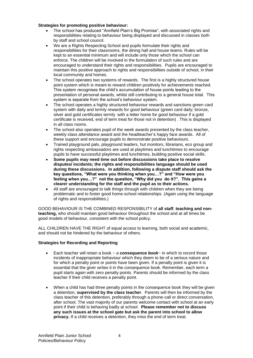#### **Strategies for promoting positive behaviour:**

- The school has produced "Annfield Plain's Big Promise", with associated rights and responsibilities relating to behaviour being displayed and discussed in classes both by staff and school council.
- We are a Rights Respecting School and pupils formulate their rights and responsibilities for their classrooms, the dining hall and house teams. Rules will be kept to an essential minimum and will include only those which the school can enforce. The children will be involved in the formulation of such rules and are encouraged to understand their rights and responsibilities. Pupils are encouraged to maintain this positive approach to rights and responsibilities outside of school, in their local community and homes.
- The school operates two systems of rewards. The first is a highly structured house point system which is meant to reward children positively for achievements reached. This system recognises the child's accumulation of house points leading to the presentation of personal awards, whilst still contributing to a general house total. This system is separate from the school's behaviour system.
- The school operates a highly structured behaviour rewards and sanctions green card system with daily and termly rewards for good behaviour (green card daily; bronze, silver and gold certificates termly with a letter home for good behaviour if a gold certificate is received, end of term treat for those not in detention) . This is displayed in all class rooms.
- The school also operates pupil of the week awards presented by the class teacher, weekly class attendance award and the headteacher's happy face awards. All of these support and encourage pupils to demonstrate positive behaviours.
- Trained playground pals, playground leaders, hut monitors, librarians, eco group and rights respecting ambassadors are used at playtimes and lunchtimes to encourage pupils to have successful playtimes and lunchtimes, building positive social skills.
- **Some pupils may need time out before discussions take place to resolve disputes/ incidents; the rights and responsibilities language should be used during these discussions. In addition, following a dispute staff should ask the key questions, "What were you thinking when you…?" and "How were you feeling when you…?" not the question, "Why did you do it?". This gains a clearer understanding for the staff and the pupil as to their actions.**
- All staff are encouraged to talk things through with children when they are being problematic and to foster good home-school relationships. (Again using the language of rights and responsibilities.)

GOOD BEHAVIOUR IS THE COMBINED RESPONSIBILITY of **all staff**, **teaching and nonteaching,** who should maintain good behaviour throughout the school and at all times be good models of behaviour, consistent with the school policy.

ALL CHILDREN HAVE THE RIGHT of equal access to learning, both social and academic, and should not be hindered by the behaviour of others.

#### **Strategies for Recording and Reporting**

- Each teacher will retain a book ~ *a consequence book*~ in which to record those incidents of inappropriate behaviour which they deem to be of a serious nature and for which a penalty point or points have been given. If a penalty point is given it is essential that the giver writes it in the consequence book. Remember, each term a pupil starts again with zero penalty points. Parents should be informed by the class teacher if their child receives a penalty point.
- When a child has had three penalty points in the consequence book they will be given a detention, **supervised by the class teacher**. Parents will then be informed by the class teacher of this detention, preferably through a phone-call or direct conversation, after school. The vast majority of our parents welcome contact with school at an early point if their child is behaving badly at school. **Please remember not to discuss any such issues at the school gate but ask the parent into school to allow privacy.** If a child receives a detention, they miss the end of term treat.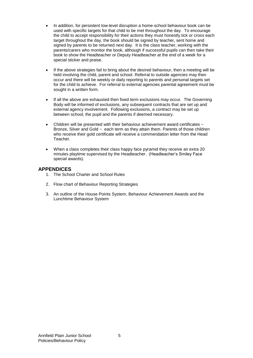- In addition, for persistent low-level disruption a home-school behaviour book can be used with specific targets for that child to be met throughout the day. To encourage the child to accept responsibility for their actions they must honestly tick or cross each target throughout the day, the book should be signed by teacher, sent home and signed by parents to be returned next day. It is the class teacher, working with the parents/carers who monitor the book, although if successful pupils can then take their book to show the Headteacher or Deputy Headteacher at the end of a week for a special sticker and praise.
- If the above strategies fail to bring about the desired behaviour, then a meeting will be held involving the child, parent and school. Referral to outside agencies may then occur and there will be weekly or daily reporting to parents and personal targets set for the child to achieve. For referral to external agencies parental agreement must be sought in a written form.
- If all the above are exhausted then fixed term exclusions may occur. The Governing Body will be informed of exclusions, any subsequent contracts that are set up and external agency involvement. Following exclusions, a contract may be set up between school, the pupil and the parents if deemed necessary.
- Children will be presented with their behaviour achievement award certificates  $\sim$ Bronze, Silver and Gold ~ each term as they attain them. Parents of those children who receive their gold certificate will receive a commendation letter from the Head Teacher.
- When a class completes their class happy face pyramid they receive an extra 20 minutes playtime supervised by the Headteacher. (Headteacher's Smiley Face special awards).

#### **APPENDICES**

- 1. The School Charter and School Rules
- 2. Flow chart of Behaviour Reporting Strategies
- 3. An outline of the House Points System, Behaviour Achievement Awards and the Lunchtime Behaviour System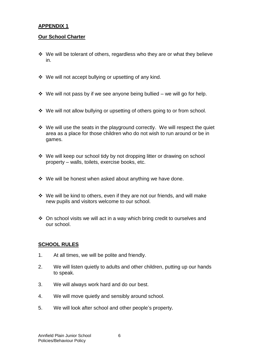### **APPENDIX 1**

#### **Our School Charter**

- ❖ We will be tolerant of others, regardless who they are or what they believe in.
- ❖ We will not accept bullying or upsetting of any kind.
- ❖ We will not pass by if we see anyone being bullied we will go for help.
- ❖ We will not allow bullying or upsetting of others going to or from school.
- ❖ We will use the seats in the playground correctly. We will respect the quiet area as a place for those children who do not wish to run around or be in games.
- ❖ We will keep our school tidy by not dropping litter or drawing on school property – walls, toilets, exercise books, etc.
- ❖ We will be honest when asked about anything we have done.
- ❖ We will be kind to others, even if they are not our friends, and will make new pupils and visitors welcome to our school.
- ❖ On school visits we will act in a way which bring credit to ourselves and our school.

#### **SCHOOL RULES**

- 1. At all times, we will be polite and friendly.
- 2. We will listen quietly to adults and other children, putting up our hands to speak.
- 3. We will always work hard and do our best.
- 4. We will move quietly and sensibly around school.
- 5. We will look after school and other people's property**.**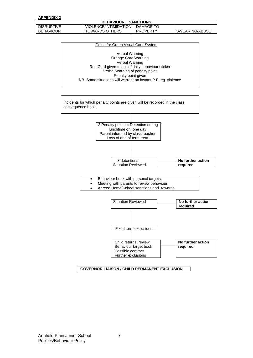